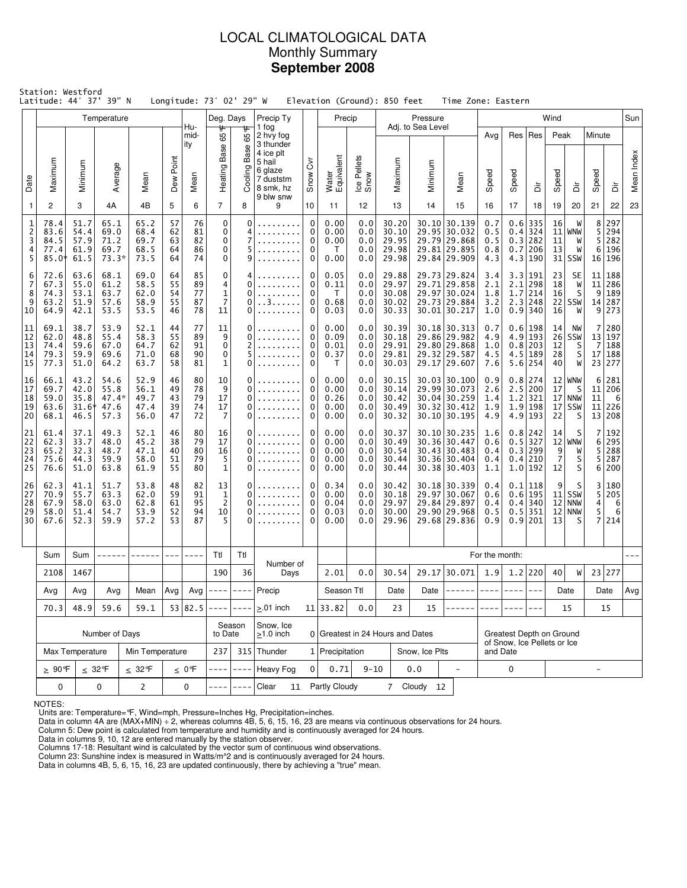## LOCAL CLIMATOLOGICAL DATA Monthly Summary **September 2008**

| Station: Westford<br>Latitude: 44° 37' 39" N<br>Longitude: 73° 02' 29" W<br>Elevation (Ground): 850 feet<br>Time Zone: Eastern<br>Temperature<br>Deg. Days<br>Precip |                                                                   |                                                                  |                                         |                                                                                                  |                            |                                                  |                                                |                              |                                                                                    |                                                                 |                                      |                                           |                                           |                                                                              |                                                                                |                                         |                                             |                                                           |                                                |                                              |                              |                                 |            |
|----------------------------------------------------------------------------------------------------------------------------------------------------------------------|-------------------------------------------------------------------|------------------------------------------------------------------|-----------------------------------------|--------------------------------------------------------------------------------------------------|----------------------------|--------------------------------------------------|------------------------------------------------|------------------------------|------------------------------------------------------------------------------------|-----------------------------------------------------------------|--------------------------------------|-------------------------------------------|-------------------------------------------|------------------------------------------------------------------------------|--------------------------------------------------------------------------------|-----------------------------------------|---------------------------------------------|-----------------------------------------------------------|------------------------------------------------|----------------------------------------------|------------------------------|---------------------------------|------------|
|                                                                                                                                                                      |                                                                   |                                                                  |                                         |                                                                                                  |                            | Hu-                                              |                                                |                              | Precip Ty<br>1 fog                                                                 |                                                                 |                                      |                                           |                                           | Pressure<br>Adj. to Sea Level                                                |                                                                                |                                         |                                             |                                                           | Wind                                           |                                              |                              |                                 | Sun        |
| Date                                                                                                                                                                 | Maximum                                                           | Minimum                                                          | Average                                 | Mean                                                                                             | Point<br>Dew               | mid-<br>ity<br>Mean                              | ₩<br>Ğ5<br>Heating Base                        | ᡃᡛ<br>65<br>Base<br>Cooling  | 2 hvy fog<br>3 thunder<br>4 ice plt<br>5 hail<br>6 glaze<br>7 duststm<br>8 smk, hz | $\breve{\delta}$<br>Snow                                        | Water<br>Equivalent                  | Ice Pellets<br>Snow                       | Maximum                                   | Minimum                                                                      | Mean                                                                           | Avg<br>Speed                            | Speed                                       | Res   Res<br>ă                                            | Peak<br>Speed                                  | à                                            | Minute<br>Speed              | έ                               | Mean Index |
| 1                                                                                                                                                                    | $\overline{2}$                                                    | 3                                                                | 4A                                      | 4B                                                                                               | 5                          | 6                                                | $\overline{7}$                                 | 8                            | 9 blw snw<br>9                                                                     | 10                                                              | 11                                   | 12                                        | 13                                        | 14                                                                           | 15                                                                             | 16                                      | 17                                          | 18                                                        | 19                                             | 20                                           | 21                           | 22                              | 23         |
| 1<br>$\overline{2}$<br>3<br>4<br>5                                                                                                                                   | 78.4<br>83.6<br>84.5<br>77.4<br>$85.0*$                           | 51.7<br>54.4<br>57.9<br>61.9<br>61.5                             | 65.1<br>69.0<br>71.2<br>69.7<br>$73.3*$ | 65.2<br>68.4<br>69.7<br>68.5<br>73.5                                                             | 57<br>62<br>63<br>64<br>64 | 76<br>81<br>82<br>86<br>74                       | $\mathbf 0$<br>0<br>$\mathbf 0$<br>0<br>0      | $\mathbf{0}$<br>4<br>7       | .<br>.                                                                             | $\mathbf 0$<br>0<br>0<br>0<br>0                                 | 0.00<br>0.00<br>0.00<br>T<br>0.00    | 0.0<br>0.0<br>0.0<br>0.0<br>0.0           | 30.20<br>30.10<br>29.95<br>29.98<br>29.98 |                                                                              | $30.10$ 30.139<br>29.95 30.032<br>29.79 29.868<br>29.81 29.895<br>29.84 29.909 | 0.7<br>0.5<br>0.5<br>0.8<br>4.3         | 0.4<br>0.7                                  | $0.6$ 335<br>324<br>0.3 282<br>206<br>4.3 190             | 16<br>11<br>13                                 | W<br>$11$ WNW<br>W<br>W<br>$31$ SSW          | 8<br>5<br>5<br>6<br>16       | 297<br>294<br>282<br>196<br>196 |            |
| 6<br>7<br>8<br>9<br>10                                                                                                                                               | 72.6<br>67.3<br>74.3<br>63.2<br>64.9                              | 63.6<br>55.0<br>53.1<br>51.9<br>42.1                             | 68.1<br>61.2<br>63.7<br>57.6<br>53.5    | 69.0<br>58.5<br>62.0<br>58.9<br>53.5                                                             | 64<br>55<br>54<br>55<br>46 | 85<br>89<br>77<br>87<br>78                       | 0<br>4<br>$\mathbf{1}$<br>$\overline{7}$<br>11 | 0<br>0<br>0<br>0             | .<br>. . 3                                                                         | 0<br>0<br>$\mathbf 0$<br>0<br>0                                 | 0.05<br>0.11<br>T<br>0.68<br>0.03    | 0.0<br>0.0<br>0.0<br>0.0<br>0.0           | 29.88<br>29.97<br>30.08<br>30.02<br>30.33 |                                                                              | 29.73 29.824<br>29.71 29.858<br>29.97 30.024<br>29.73 29.884<br>30.01 30.217   | 3.4<br>2.1<br>1.8<br>3.2<br>1.0         | 3.3<br>2.1<br>1.7<br>0.9                    | 191<br>298<br>214<br>2.3 248<br>340                       | 23<br>18<br>16<br>16                           | <b>SE</b><br>W<br>S<br>$22$ SSW<br>W         | 11<br>11<br>9<br>14<br>9     | 188<br>286<br>189<br>287<br>273 |            |
| 11<br>12<br>13<br>14<br>15                                                                                                                                           | 69.1<br>62.0<br>74.4<br>79.3<br>77.3                              | 38.7<br>48.8<br>59.6<br>59.9<br>51.0                             | 53.9<br>55.4<br>67.0<br>69.6<br>64.2    | 52.1<br>58.3<br>64.7<br>71.0<br>63.7                                                             | 44<br>55<br>62<br>68<br>58 | 77<br>89<br>91<br>90<br>81                       | 11<br>9<br>$\mathbf 0$<br>$\mathbf 0$<br>1     | 0<br>0<br>2<br>5<br>0        | .                                                                                  | 0<br>0.00<br>0<br>0.09<br>0<br>0.01<br>0<br>0.37<br>$\mathbf 0$ |                                      | 0.0<br>0.0<br>0.0<br>0.0<br>0.0           | 30.39<br>30.18<br>29.91<br>29.81<br>30.03 |                                                                              | 30.18 30.313<br>29.86 29.982<br>29.80 29.868<br>29.32 29.587<br>29.17 29.607   | 0.7<br>4.9<br>1.0<br>4.5<br>7.6         | 4.9                                         | 0.6 198<br>193<br>$0.8$   203<br>$4.5$ 189<br>$5.6$   254 | 14<br>26<br>12<br>28<br>40                     | NW<br>SSW<br>S<br>S<br>W                     | 7<br>13<br>7<br>17<br>23     | 280<br>197<br>188<br>188<br>277 |            |
| 16<br>17<br>18<br>19<br>20                                                                                                                                           | 66.1<br>69.7<br>59.0<br>63.6<br>68.1                              | 43.2<br>42.0<br>35.8<br>31.6*<br>46.5                            | 54.6<br>55.8<br>$47.4*$<br>47.6<br>57.3 | 52.9<br>56.1<br>49.7<br>47.4<br>56.0                                                             | 46<br>49<br>43<br>39<br>47 | 80<br>78<br>79<br>74<br>72                       | 10<br>9<br>17<br>17<br>$\overline{7}$          | 0<br>0<br>0<br>0<br>0        | .                                                                                  | 0<br>0<br>0<br>0<br>0                                           |                                      | 0.0<br>0.0<br>0.0<br>0.0<br>0.0           | 30.15<br>30.14<br>30.42<br>30.49<br>30.32 |                                                                              | $30.03$ 30.100<br>29.99 30.073<br>30.04 30.259<br>30.32 30.412<br>30.10 30.195 | 0.9<br>2.6<br>1.4<br>1.9<br>4.9         | 2.5<br>1.2<br>1.9                           | $0.8$   274<br>200<br>321<br>  198<br>4.9 193             | 17<br>22                                       | $12$   WNW<br>S<br>$17$ NNW<br>$17$ SSW<br>S | 6<br>11<br>11<br>11<br>13    | 281<br>206<br>6<br>226<br>208   |            |
| 21<br>22<br>23<br>24<br>25                                                                                                                                           | 61.4<br>62.3<br>65.2<br>75.6<br>76.6                              | 37.1<br>33.7<br>32.3<br>44.3<br>51.0                             | 49.3<br>48.0<br>48.7<br>59.9<br>63.8    | 52.1<br>45.2<br>47.1<br>58.0<br>61.9                                                             | 46<br>38<br>40<br>51<br>55 | 80<br>79<br>80<br>79<br>80                       | 16<br>17<br>16<br>5<br>$\mathbf{1}$            | 0<br>0<br>0<br>0<br>O        |                                                                                    | 0<br>$\mathbf 0$<br>0<br>0<br>$\mathbf 0$                       | 0.00<br>0.00<br>0.00<br>0.00<br>0.00 | 0.0<br>0.0<br>0.0<br>0.0<br>0.0           | 30.37<br>30.49<br>30.54<br>30.44<br>30.44 |                                                                              | 30.10 30.235<br>30.36 30.447<br>30.43 30.483<br>30.36 30.404<br>30.38 30.403   | 1.6<br>0.6<br>0.4<br>0.4<br>1.1         | 0.5<br>0.4<br>1.0                           | $0.8$  242<br>327<br>0.3 299<br>210<br>192                | 14<br>12<br>9<br>$\overline{7}$<br>12          | S<br><b>WNW</b><br>W<br>s<br>s               | 7<br>6<br>5<br>5<br>6        | 192<br>295<br>288<br>287<br>200 |            |
| 26<br>27<br>28<br>29<br>30                                                                                                                                           | 62.3<br>70.9<br>67.9<br>58.0<br>67.6                              | 41.1<br>55.7<br>58.0<br>51.4<br>52.3                             | 51.7<br>63.3<br>63.0<br>54.7<br>59.9    | 53.8<br>48<br>82<br>59<br>62.0<br>91<br>62.8<br>61<br>95<br>53.9<br>52<br>94<br>57.2<br>53<br>87 |                            | 13<br>$\mathbf{1}$<br>$\overline{2}$<br>10<br>-5 | 0<br>0<br>O<br>0                               |                              | 0<br>0<br>0<br>0<br>0                                                              | 0.34<br>0.00<br>0.04<br>0.03<br>0.00                            | 0.0<br>0.0<br>0.0<br>0.0<br>0.0      | 30.42<br>30.18<br>29.97<br>30.00<br>29.96 |                                           | 30.18 30.339<br>29.97 30.067<br>29.84 29.897<br>29.90 29.968<br>29.68 29.836 | 0.4<br>0.6<br>0.4<br>0.5<br>0.9                                                | 0.1<br>0.6<br>0.4                       | 118<br>195<br>340<br>$0.5$   351<br>0.9 201 | 9<br>12<br>12<br>13                                       | S<br>$11$ SSW<br><b>NNW</b><br><b>NNW</b><br>S | 3<br>5<br>4<br>5<br>7                        | 180<br>205<br>-6<br>6<br>214 |                                 |            |
|                                                                                                                                                                      | Sum                                                               | Sum                                                              | ------                                  |                                                                                                  | $---$                      | $- - - -$                                        | Ttl                                            | Ttl                          |                                                                                    |                                                                 |                                      |                                           |                                           |                                                                              |                                                                                | For the month:                          |                                             |                                                           |                                                |                                              |                              |                                 |            |
|                                                                                                                                                                      | 2108                                                              | Number of<br>36<br>1467<br>190                                   |                                         | Days                                                                                             |                            | 2.01                                             | 0.0                                            | 30.54                        |                                                                                    | 29.17 30.071                                                    | 1.9                                  |                                           | $1.2$ 220                                 | 40                                                                           | W                                                                              |                                         | 23 277                                      |                                                           |                                                |                                              |                              |                                 |            |
|                                                                                                                                                                      | Avg                                                               | Precip<br>Avg<br>Avg<br>Mean<br>Avg<br>Avg $ -----$<br>$- - - -$ |                                         |                                                                                                  |                            | Season Ttl                                       |                                                | Date                         |                                                                                    | Date $ ----- $                                                  | $- - - - -$                          | $- - - -$                                 |                                           |                                                                              | Date                                                                           |                                         | Date                                        | Avg                                                       |                                                |                                              |                              |                                 |            |
|                                                                                                                                                                      | 70.3                                                              | 59.6<br>59.1<br>53 82.5<br>48.9                                  |                                         |                                                                                                  |                            |                                                  |                                                |                              | $> 01$ inch                                                                        |                                                                 | 11 33.82                             | 0.0                                       | 23                                        | 15                                                                           |                                                                                |                                         |                                             |                                                           |                                                | 15                                           |                              | 15                              |            |
|                                                                                                                                                                      |                                                                   |                                                                  | Number of Days                          |                                                                                                  |                            | to Date                                          | Season                                         | Snow, Ice<br>$\geq$ 1.0 inch |                                                                                    |                                                                 |                                      |                                           | 0 Greatest in 24 Hours and Dates          |                                                                              |                                                                                |                                         |                                             | Greatest Depth on Ground                                  |                                                |                                              |                              |                                 |            |
|                                                                                                                                                                      | Max Temperature<br>Min Temperature                                |                                                                  |                                         |                                                                                                  |                            |                                                  | 237                                            |                              | 315 Thunder                                                                        |                                                                 | 1 Precipitation                      |                                           |                                           | Snow, Ice Plts                                                               |                                                                                | of Snow, Ice Pellets or Ice<br>and Date |                                             |                                                           |                                                |                                              |                              |                                 |            |
|                                                                                                                                                                      | $\leq 32^{\circ}$ F<br>$\leq$ 32°F<br>$\geq 90$ °F<br>$\leq 0$ °F |                                                                  |                                         |                                                                                                  |                            |                                                  |                                                |                              | Heavy Fog                                                                          | $\Omega$                                                        | 0.71                                 | $9 - 10$                                  |                                           | 0.0                                                                          | $\overline{\phantom{a}}$                                                       | 0                                       |                                             |                                                           | $\overline{\phantom{0}}$                       |                                              |                              |                                 |            |
| 0<br>$\mathbf{2}$<br>0<br>0                                                                                                                                          |                                                                   |                                                                  |                                         |                                                                                                  |                            |                                                  | Clear<br>11                                    |                              | Partly Cloudy                                                                      |                                                                 |                                      | 7 Cloudy 12                               |                                           |                                                                              |                                                                                |                                         |                                             |                                                           |                                                |                                              |                              |                                 |            |

NOTES:

Units are: Temperature=°F, Wind=mph, Pressure=Inches Hg, Precipitation=inches. Data in column 4A are (MAX+MIN) ÷ 2, whereas columns 4B, 5, 6, 15, 16, 23 are means via continuous observations for 24 hours.

Column 5: Dew point is calculated from temperature and humidity and is continuously averaged for 24 hours.

Data in columns 9, 10, 12 are entered manually by the station observer.

Columns 17-18: Resultant wind is calculated by the vector sum of continuous wind observations.<br>Column 23: Sunshine index is measured in Watts/m^2 and is continuously averaged for 24 hours.<br>Data in columns 4B, 5, 6, 15, 16,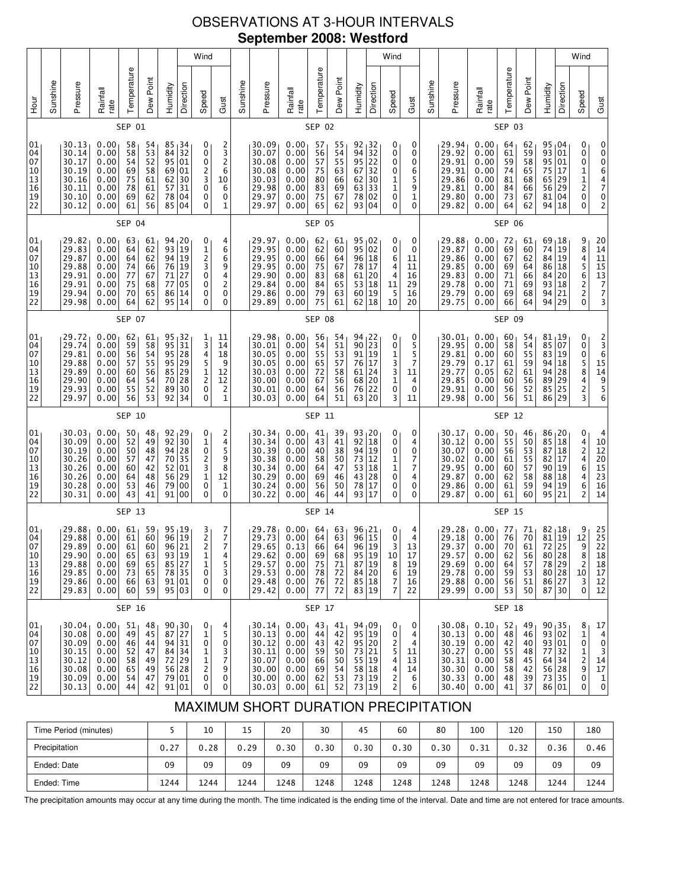# OBSERVATIONS AT 3-HOUR INTERVALS **September 2008: Westford**

|                                              |          |                                                                      |                                                              |                                              |                                              |                                              |                                                                       | Wind                                                                |                                                                   |          |                                                                                   |                                                              |                                              |                                              |                                                                                              |                                                     | Wind                                            |                                            |          |                                                                      |                                                                           |                                              |                                              |                                                              |                                                            | Wind                                                              |                                                                             |
|----------------------------------------------|----------|----------------------------------------------------------------------|--------------------------------------------------------------|----------------------------------------------|----------------------------------------------|----------------------------------------------|-----------------------------------------------------------------------|---------------------------------------------------------------------|-------------------------------------------------------------------|----------|-----------------------------------------------------------------------------------|--------------------------------------------------------------|----------------------------------------------|----------------------------------------------|----------------------------------------------------------------------------------------------|-----------------------------------------------------|-------------------------------------------------|--------------------------------------------|----------|----------------------------------------------------------------------|---------------------------------------------------------------------------|----------------------------------------------|----------------------------------------------|--------------------------------------------------------------|------------------------------------------------------------|-------------------------------------------------------------------|-----------------------------------------------------------------------------|
| H <sub>our</sub>                             | Sunshine | Pressure                                                             | Rainfall<br>rate                                             | Temperature                                  | Dew Point                                    | Humidity                                     | Direction                                                             | Speed                                                               | Gust                                                              | Sunshine | Pressure                                                                          | Rainfall<br>rate                                             | Temperature                                  | Dew Point                                    | Humidity                                                                                     | Direction                                           | Speed                                           | Gust                                       | Sunshine | Pressure                                                             | Rainfall<br>rate                                                          | Temperature                                  | Dew Point                                    | Humidity                                                     | Direction                                                  | Speed                                                             | Gust                                                                        |
|                                              |          |                                                                      |                                                              | SEP 01                                       |                                              |                                              |                                                                       |                                                                     |                                                                   |          |                                                                                   |                                                              | SEP 02                                       |                                              |                                                                                              |                                                     |                                                 |                                            |          |                                                                      |                                                                           | SEP 03                                       |                                              |                                                              |                                                            |                                                                   |                                                                             |
| 01<br>04<br>07<br>10<br>13<br>16<br>19<br>22 |          | 30.13<br>30.14<br>30.17<br>30.19<br>30.16<br>30.11<br>30.10<br>30.12 | 0.00<br>0.00<br>0.00<br>0.00<br>0.00<br>0.00<br>0.00<br>0.00 | 58<br>58<br>54<br>69<br>75<br>78<br>69<br>61 | 54<br>53<br>52<br>58<br>61<br>61<br>62<br>56 | 85<br>84<br>95<br>69<br>62<br>57<br>78<br>85 | 34<br>32<br>$\overline{01}$<br>01<br>30<br>31<br>04<br>04             | 0<br>0<br>0<br>2<br>3<br>0<br>0<br>0                                | 2<br>$\frac{3}{2}$<br>6<br>10<br>6<br>$\mathbf 0$<br>1            |          | 30.09<br>30.07<br>30.08<br>30.08<br>30.03<br>29.98<br>29.97<br>29.97              | 0.00<br>0.00<br>0.00<br>0.00<br>0.00<br>0.00<br>0.00<br>0.00 | 57<br>56<br>57<br>75<br>80<br>83<br>75<br>65 | 55<br>54<br>55<br>63<br>66<br>69<br>67<br>62 | $\begin{array}{c c} 92 & 32 \\ 94 & 32 \\ 95 & 22 \end{array}$<br>67<br>62<br>63<br>78<br>93 | 32<br>30<br>33<br>02<br>04                          | 0<br>0<br>0<br>0<br>1<br>$\mathbf 1$<br>0<br>0  | 0<br>0<br>0<br>6<br>5<br>9<br>1<br>0       |          | 29.94<br>29.92<br>29.91<br>29.91<br>29.86<br>29.81<br>29.80<br>29.82 | 0.00<br>0.00<br>0.00<br>0.00<br>0.00<br>0.00<br>0.00<br>0.00              | 64<br>61<br>59<br>74<br>81<br>84<br>73<br>64 | 62<br>59<br>58<br>65<br>68<br>66<br>67<br>62 | 93<br>$\overline{95}$<br>75<br>65<br>56<br>81 <br>94         | $95 \, 04$<br>01<br>  01<br>  17<br> 29<br> 29<br>04<br>18 | 0<br>0<br>0<br>$\frac{1}{1}$<br>$\overline{\mathbf{c}}$<br>0<br>0 | 0<br>0064702                                                                |
|                                              |          |                                                                      |                                                              | SEP 04                                       |                                              |                                              |                                                                       |                                                                     |                                                                   |          |                                                                                   |                                                              | <b>SEP 05</b>                                |                                              |                                                                                              |                                                     |                                                 |                                            |          |                                                                      |                                                                           | <b>SEP 06</b>                                |                                              |                                                              |                                                            |                                                                   |                                                                             |
| 01<br>04<br>07<br>10<br>13<br>16<br>19<br>22 |          | 29.82<br>29.83<br>29.87<br>29.88<br>29.91<br>29.91<br>29.94<br>29.98 | 0.00<br>0.00<br>0.00<br>0.00<br>0.00<br>0.00<br>0.00<br>0.00 | 63<br>64<br>64<br>74<br>77<br>75<br>70<br>64 | 61<br>62<br>62<br>66<br>67<br>68<br>65<br>62 | 93<br>76<br>71<br>77<br>86<br>95             | 94, 20<br>$\overline{19}$<br>94 19<br>19<br>27<br>05<br>14<br>14      | 0<br>$\frac{1}{2}$<br>3<br>0<br>0<br>0<br>0                         | 4<br>6<br>6<br>9<br>4<br>$\overline{c}$<br>0<br>0                 |          | 29.97<br>29.95<br>29.95<br>29.95<br>29.90<br>29.84<br>29.86<br>29.89              | 0.00<br>0.00<br>0.00<br>0.00<br>0.00<br>0.00<br>0.00<br>0.00 | 62<br>62<br>66<br>75<br>83<br>84<br>79<br>75 | 61<br>60<br>64<br>67<br>68<br>65<br>63<br>61 | 95 02<br>95<br>96<br>78<br>61<br>53<br>60<br>62                                              | 02<br>18<br>17<br>20<br>18<br>19<br>18              | 0<br>0<br>6<br>4<br>4<br>11<br>5<br>10          | 0<br>0<br>11<br>11<br>16<br>29<br>16<br>20 |          | 29.88<br>29.87<br>29.86<br>29.85<br>29.83<br>29.78<br>29.79<br>29.75 | 0.00<br>0.00<br>0.00<br>0.00<br>0.00<br>0.00<br>0.00<br>0.00              | 72<br>69<br>67<br>69<br>71<br>71<br>69<br>66 | 61<br>60<br>62<br>64<br>66<br>69<br>68<br>64 | 69,18<br>74<br>84<br>86<br>84<br>93<br>94<br>94              | 19<br>19<br> 18<br>20<br> 18<br>21<br>29                   | 9<br>8<br>4<br>5<br>6<br>2<br>2<br>0                              | 20<br>14<br>11<br>15<br>13<br>7<br>7<br>3                                   |
|                                              |          | <b>SEP 07</b>                                                        |                                                              |                                              |                                              |                                              |                                                                       |                                                                     |                                                                   |          |                                                                                   |                                                              | <b>SEP 08</b>                                |                                              |                                                                                              |                                                     |                                                 |                                            |          |                                                                      |                                                                           | <b>SEP 09</b>                                |                                              |                                                              |                                                            |                                                                   |                                                                             |
| 01<br>04<br>07<br>10<br>13<br>16<br>19<br>22 |          | 29.72<br>29.74<br>29.81<br>29.88<br>29.89<br>29.90<br>29.93<br>29.97 | 0.00<br>0.00<br>0.00<br>0.00<br>0.00<br>0.00<br>0.00<br>0.00 | 62<br>59<br>56<br>57<br>60<br>64<br>55<br>56 | 61<br>58<br>54<br>55<br>56<br>54<br>52<br>53 | 95<br>95<br>95<br>95<br>85<br>70<br>89<br>92 | 32<br>$rac{31}{28}$<br>29<br>29<br>28<br>30<br>34                     | 1<br>3<br>4<br>5<br>$\frac{1}{2}$ 0<br>0                            | 11<br>14<br>18<br>9<br>12<br>12<br>$\overline{c}$<br>$\mathbf{1}$ |          | 29.98<br>30.01<br>30.05<br>30.05<br>30.03<br>30.00<br>30.01<br>30.03              | 0.00<br>0.00<br>0.00<br>0.00<br>0.00<br>0.00<br>0.00<br>0.00 | 56<br>54<br>55<br>65<br>72<br>67<br>64<br>64 | 54<br>51<br>53<br>57<br>58<br>56<br>56<br>51 | $94_1$ 22<br>90<br>91<br>76<br>61<br>68<br>76<br>63                                          | 23<br>19<br>17<br>24<br>$\overline{20}$<br>22<br>20 | 0<br>0<br>1<br>3<br>$\frac{3}{1}$<br>0<br>3     | 0<br>5<br>5<br>7<br>11<br>4<br>0<br>11     |          | 30.01<br>29.95<br>29.81<br>29.79<br>29.77<br>29.85<br>29.91<br>29.98 | 0.00<br>0.00<br>0.00<br>0.17<br>0.05<br>0.00<br>0.00<br>0.00              | 60<br>58<br>60<br>61<br>62<br>60<br>56<br>56 | 54<br>54<br>55<br>59<br>61<br>56<br>52<br>51 | 81,19<br>85<br>83 19<br>94<br>94 28<br>89<br>85 25<br>86     | 07<br>18<br>$ 29\rangle$<br>29                             | 0<br>0<br>0<br>58423                                              | 2<br>3<br>6<br>15<br>14<br>9<br>5<br>6                                      |
|                                              |          |                                                                      |                                                              | SEP 10                                       |                                              |                                              |                                                                       |                                                                     |                                                                   |          |                                                                                   |                                                              | SEP 11                                       |                                              |                                                                                              |                                                     |                                                 |                                            |          |                                                                      |                                                                           | SEP 12                                       |                                              |                                                              |                                                            |                                                                   |                                                                             |
| 01<br>04<br>07<br>10<br>13<br>16<br>19<br>22 |          | 30.03<br>30.09<br>30.19<br>30.26<br>30.26<br>30.26<br>30.28<br>30.31 | 0.00<br>0.00<br>0.00<br>0.00<br>0.00<br>0.00<br>0.00<br>0.00 | 50<br>52<br>50<br>57<br>60<br>64<br>53<br>43 | 48<br>49<br>48<br>47<br>42<br>48<br>46<br>41 | 92<br>94<br>70<br>52<br>56<br>79<br>91       | 92 29<br>30<br>28<br>35<br>01<br>29<br>00<br>00                       | 0<br>$\mathbf 1$<br>0<br>$\frac{2}{3}$<br>$\mathbf 1$<br>0<br>0     | 2<br>4<br>5<br>9<br>$\overline{8}$<br>12<br>$\mathbf 1$<br>0      |          | 30.34<br>30.34<br>30.39<br>30.38<br>30.34<br>30.29<br>30.24<br>30.22              | 0.00<br>0.00<br>0.00<br>0.00<br>0.00<br>0.00<br>0.00<br>0.00 | 41<br>43<br>40<br>58<br>64<br>69<br>56<br>46 | 39<br>41<br>38<br>50<br>47<br>46<br>50<br>44 | 93 20<br>92<br>94<br>73<br>$\frac{53}{43}$<br>78<br>93                                       | 18<br>19<br>12<br>18<br>28<br>17<br>17              | 0<br>0<br>0<br>1<br>$\mathbf{1}$<br>0<br>0<br>0 | 0<br>4<br>0<br>7<br>7<br>4<br>0<br>0       |          | 30.17<br>30.12<br>30.07<br>30.02<br>29.95<br>29.87<br>29.86<br>29.87 | 0.00<br>0.00<br>0.00<br>0.00<br>0.00<br>0.00<br>0.00<br>0.00              | 50<br>55<br>56<br>61<br>60<br>62<br>61<br>61 | 46<br>50<br>53<br>55<br>57<br>58<br>59<br>60 | 86 <sub>1</sub> 20<br>85<br>87<br>82<br>90<br>88<br>94<br>95 | 18<br>18<br>17<br> 19<br>18<br>19<br>  21                  | 0<br>42464<br>6<br>2                                              | 4<br>10<br>$\frac{12}{20}$<br>$\frac{25}{23}$<br>16<br>14                   |
|                                              |          |                                                                      |                                                              | SEP 13                                       |                                              |                                              |                                                                       |                                                                     |                                                                   |          |                                                                                   |                                                              | <b>SEP 14</b>                                |                                              |                                                                                              |                                                     |                                                 |                                            |          |                                                                      |                                                                           | <b>SEP 15</b>                                |                                              |                                                              |                                                            |                                                                   |                                                                             |
| 01<br>04<br>07<br>10<br>13<br>16<br>19<br>22 |          | 29.88<br>29.88<br>29.89<br>29.90<br>29.88<br>29.85<br>29.86<br>29.83 | 0.00<br>0.00<br>0.00<br>0.00<br>0.00<br>0.00<br>0.00<br>0.00 | 61<br>61<br>61<br>65<br>69<br>73<br>66<br>60 | 59<br>60<br>60<br>63<br>65<br>65<br>63<br>59 |                                              | 95 19<br>96 19<br>96 21<br>93 19<br>85 27<br>78 35<br>91 01<br>95 03  | $\begin{array}{c} 3 \\ 2 \\ 2 \end{array}$<br>1<br>1<br>0<br>0<br>0 | 7<br>$\overline{7}$<br>$\overline{7}$<br>4<br>5<br>3<br>0<br>0    |          | 29.78<br>29.73<br>29.65<br>29.62<br>29.57<br>29.53<br>29.48<br>29.42              | 0.00<br>0.00<br>0.13<br>0.00<br>0.00<br>0.00<br>0.00<br>0.00 | 64<br>64<br>66<br>69<br>75<br>78<br>76<br>77 | 63<br>63<br>64<br>68<br>71<br>72<br>72<br>72 | 96 21<br>96<br>96 19<br>95<br>87 19<br>$84$ 20<br>85 18<br>83 19                             | 15<br>19                                            | 0<br>0<br>२ ।<br>10<br>8<br>6<br>7<br>7         | 4<br>4<br>13<br>17<br>19<br>19<br>16<br>22 |          | 29.28<br>29.18<br>29.37<br>29.57<br>29.69<br>29.78<br>29.88<br>29.99 | 0.00<br>0.00<br>0.00<br>0.00<br>0.00<br>0.00<br>0.00<br>0.00              | 77<br>76<br>70<br>62<br>64<br>59<br>56<br>53 | 71<br>70<br>61<br>56<br>57<br>53<br>51<br>50 | 81<br>72<br>78 29<br>80 28<br>86 27                          | $82 \mid 18$<br>19<br>25<br>80 28<br>87 30                 | 9<br>12<br>9<br>$\frac{8}{2}$<br>10<br>3<br>0                     | $\begin{array}{c} 25 \\ 25 \end{array}$<br>22<br>18<br>18<br>17<br>12<br>12 |
|                                              |          |                                                                      |                                                              | SEP 16                                       |                                              |                                              |                                                                       |                                                                     |                                                                   |          |                                                                                   |                                                              | SEP 17                                       |                                              |                                                                                              |                                                     |                                                 |                                            |          |                                                                      |                                                                           | <b>SEP 18</b>                                |                                              |                                                              |                                                            |                                                                   |                                                                             |
| 01<br>04<br>07<br>10<br>13<br>16<br>19<br>22 |          | 30.04<br>30.08<br>30.09<br>30.15<br>30.12<br>30.08<br>30.09<br>30.13 | 0.00<br>0.00<br>0.00<br>0.00<br>0.00<br>0.00<br>0.00<br>0.00 | 51<br>49<br>46<br>52<br>58<br>65<br>54<br>44 | 48<br>45<br>44<br>47<br>49<br>49<br>47<br>42 |                                              | 90, 30<br>87 27<br>94 31<br>84 34<br>72 29<br>56 28<br>79 01<br>91 01 | 0<br>1<br>0<br>1<br>1<br>2<br>0<br>0                                | 4<br>5<br>0<br>3<br>7<br>9<br>0<br>0                              |          | 30.14 <sub>1</sub><br>30.13<br>30.12<br>30.11<br>30.07<br>30.00<br>30.00<br>30.03 | 0.00<br>0.00<br>0.00<br>0.00<br>0.00<br>0.00<br>0.00<br>0.00 | 43<br>44<br>43<br>59<br>66<br>69<br>62<br>61 | 41<br>42<br>42<br>50<br>50<br>54<br>53<br>52 | 94,09<br>95 19<br>95 20<br>73 21<br>55 19<br>58 18<br>73 19<br>73 19                         |                                                     | 0<br>0<br>2<br>5<br>4<br>4<br>2<br>2            | 0<br>4<br>4<br>11<br>13<br>14<br>6<br>6    |          | 30.08<br>30.13<br>30.19<br>30.27<br>30.31<br>30.30<br>30.33<br>30.40 | 0.10 <sub>1</sub><br>0.00<br>0.00<br>0.00<br>0.00<br>0.00<br>0.00<br>0.00 | 52<br>48<br>42<br>55<br>58<br>58<br>48<br>41 | 49<br>46<br>40<br>48<br>45<br>42<br>39<br>37 | 93 02<br>93 01<br>77 32<br>64 34                             | 90, 35<br>56 28<br>73 35<br>86 01                          | 8<br>1<br>0<br>1<br>2<br>9<br>0<br>0                              | 17<br>4<br>$\pmb{0}$<br>3<br>14<br>17<br>$\mathbf{1}$<br>0                  |

# MAXIMUM SHORT DURATION PRECIPITATION

| Time Period (minutes) |      | 10   | 15   | 20   | 30   | 45   | 60   | 80   | 100  | 120  | 150  | 180  |
|-----------------------|------|------|------|------|------|------|------|------|------|------|------|------|
| Precipitation         | 0.27 | 0.28 | 0.29 | 0.30 | 0.30 | 0.30 | 0.30 | 0.30 | 0.31 | 0.32 | 0.36 | 0.46 |
| Ended: Date           | 09   | 09   | 09   | 09   | 09   | 09   | 09   | 09   | 09   | 09   | 09   | 09   |
| Ended: Time           | 1244 | 1244 | 1244 | 1248 | 1248 | 1248 | 1248 | 1248 | 1248 | 1248 | 1244 | 1244 |

The precipitation amounts may occur at any time during the month. The time indicated is the ending time of the interval. Date and time are not entered for trace amounts.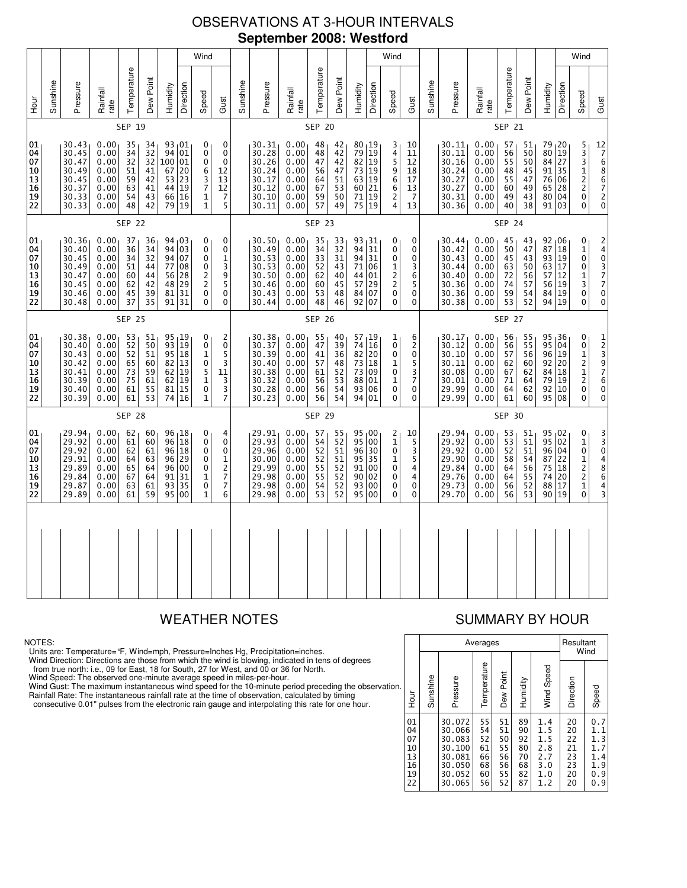# OBSERVATIONS AT 3-HOUR INTERVALS **September 2008: Westford**

|                                              |               |                                                                      |                                                              |                                              | Temperature                                  | Dew Point                               |                                                     |                                                                                | Wind                                                                                                 | Sunshine                                                             |                                                              |                                              | Temperature                                               | Dew Point                                        |                                                                   |                                                 | Wind                                                     | Sunshine                                                             |                                                              |                                              | Temperature                                  | Dew Point                                                     |                                    |                                                                                                               | Wind                                  |
|----------------------------------------------|---------------|----------------------------------------------------------------------|--------------------------------------------------------------|----------------------------------------------|----------------------------------------------|-----------------------------------------|-----------------------------------------------------|--------------------------------------------------------------------------------|------------------------------------------------------------------------------------------------------|----------------------------------------------------------------------|--------------------------------------------------------------|----------------------------------------------|-----------------------------------------------------------|--------------------------------------------------|-------------------------------------------------------------------|-------------------------------------------------|----------------------------------------------------------|----------------------------------------------------------------------|--------------------------------------------------------------|----------------------------------------------|----------------------------------------------|---------------------------------------------------------------|------------------------------------|---------------------------------------------------------------------------------------------------------------|---------------------------------------|
| Sunshine                                     |               | Pressure                                                             | Rainfall<br>rate                                             |                                              |                                              | Humidity                                | Direction                                           | Speed<br>Gust                                                                  |                                                                                                      | Pressure                                                             | Rainfall<br>rate                                             |                                              |                                                           | Humidity                                         | Direction                                                         | Speed                                           | Gust                                                     | Pressure                                                             | Rainfall<br>rate                                             |                                              |                                              | Humidity                                                      | Direction                          | Speed                                                                                                         | Gust                                  |
|                                              |               |                                                                      |                                                              | SEP 19                                       |                                              |                                         |                                                     |                                                                                |                                                                                                      |                                                                      |                                                              | <b>SEP 20</b>                                |                                                           |                                                  |                                                                   |                                                 |                                                          |                                                                      |                                                              | <b>SEP 21</b>                                |                                              |                                                               |                                    |                                                                                                               |                                       |
| 01<br>04<br>07<br>10<br>13<br>16<br>19<br>22 |               | 30.43<br>30.45<br>30.47<br>30.49<br>30.45<br>30.37<br>30.33<br>30.33 | 0.00<br>0.00<br>0.00<br>0.00<br>0.00<br>0.00<br>0.00<br>0.00 | 35<br>34<br>32<br>51<br>59<br>63<br>54<br>48 | 34<br>32<br>32<br>41<br>42<br>41<br>43<br>42 | 94<br>100<br>67<br>53<br>44<br>66<br>79 | 93 01<br>01<br>01<br>20<br>23<br>19<br>16<br>19     | 0<br>0<br>0<br>6<br>12<br>3<br>13<br>$\overline{7}$<br>12<br>1<br>$\mathbf{1}$ | 0<br>$\mathbf 0$<br>$\mathbf 0$<br>7<br>5                                                            | 30.31<br>30.28<br>30.26<br>30.24<br>30.17<br>30.12<br>30.10<br>30.11 | 0.00<br>0.00<br>0.00<br>0.00<br>0.00<br>0.00<br>0.00<br>0.00 | 48<br>48<br>47<br>56<br>64<br>67<br>59<br>57 | 42<br>42<br>42<br>47<br>51<br>53<br>50<br>49              | 80, 19<br>79<br>82<br>73<br>63<br>60<br>71<br>75 | $\vert$ 19<br>$\vert$ 19<br>$\vert$ 19<br> 19<br>21<br> 19<br> 19 | 3<br>$\frac{4}{5}$<br>9<br>6<br>6<br>2<br>4     | 10<br>11<br>12<br>18<br>17<br>13<br>-5<br>13             | 30.11<br>30.11<br>30.16<br>30.24<br>30.27<br>30.27<br>30.31<br>30.36 | 0.00<br>0.00<br>0.00<br>0.00<br>0.00<br>0.00<br>0.00<br>0.00 | 57<br>56<br>55<br>48<br>55<br>60<br>49<br>40 | 51<br>50<br>50<br>45<br>47<br>49<br>43<br>38 | 79 20<br>80 <br>84 27<br>91 35<br>76<br>65<br>80 04<br>91 03  | 19<br>06<br>28                     | 5<br>3<br>3<br>1<br>2<br>$\overline{c}$<br>0<br>0                                                             | 12<br>7686720                         |
|                                              |               |                                                                      |                                                              | <b>SEP 22</b>                                |                                              |                                         |                                                     |                                                                                |                                                                                                      |                                                                      |                                                              | <b>SEP 23</b>                                |                                                           |                                                  |                                                                   |                                                 |                                                          |                                                                      |                                                              | <b>SEP 24</b>                                |                                              |                                                               |                                    |                                                                                                               |                                       |
| 01<br>04<br>07<br>10<br>13<br>16<br>19<br>22 |               | 30.36<br>30.40<br>30.45<br>30.49<br>30.47<br>30.45<br>30.46<br>30.48 | 0.00<br>0.00<br>0.00<br>0.00<br>0.00<br>0.00<br>0.00<br>0.00 | 37<br>36<br>34<br>51<br>60<br>62<br>45<br>37 | 36<br>34<br>32<br>44<br>44<br>42<br>39<br>35 | 94<br>94<br>77<br>56<br>48<br>81<br>91  | 94,03<br>03<br>07<br>08<br>28<br>29<br>31<br>31     | 0<br>0<br>0<br>0<br>$\overline{c}$<br>$\overline{\mathbf{c}}$<br>0<br>0        | 0<br>$\mathbf 0$<br>$\mathbf{1}$<br>3<br>9<br>$\overline{\mathbf{5}}$<br>$\mathbf 0$<br>$\mathbf{0}$ | 30.50<br>30.49<br>30.53<br>30.53<br>30.50<br>30.46<br>30.43<br>30.44 | 0.00<br>0.00<br>0.00<br>0.00<br>0.00<br>0.00<br>0.00<br>0.00 | 35<br>34<br>33<br>52<br>62<br>60<br>53<br>48 | 33<br>$\overline{32}$<br>31<br>43<br>40<br>45<br>48<br>46 | 93,31<br>94<br>94<br>71<br>44<br>57<br>84<br>92  | 31<br>  31<br>06<br>01<br>29<br>07<br>07                          | 0<br>0<br>0<br>1<br>2<br>2<br>0<br>0            | 0<br>0<br>0<br>3<br>6<br>5<br>0<br>0                     | 30.44<br>30.42<br>30.43<br>30.44<br>30.40<br>30.36<br>30.36<br>30.38 | 0.00<br>0.00<br>0.00<br>0.00<br>0.00<br>0.00<br>0.00<br>0.00 | 45<br>50<br>45<br>63<br>72<br>74<br>59<br>53 | 43<br>47<br>43<br>50<br>56<br>57<br>54<br>52 | $92 \t{1}06$<br>87<br>93 19<br>63<br>57<br>56 <br>84 19<br>94 | 18<br>17<br>12<br>$\vert$ 19<br>19 | 0<br>$\mathbf 1$<br>0<br>0<br>1<br>3<br>0<br>0                                                                | $\frac{2}{4}$<br>03770<br>$\tilde{0}$ |
|                                              | <b>SEP 25</b> |                                                                      |                                                              |                                              |                                              |                                         |                                                     |                                                                                |                                                                                                      | <b>SEP 26</b>                                                        |                                                              |                                              |                                                           |                                                  |                                                                   |                                                 |                                                          | <b>SEP 27</b>                                                        |                                                              |                                              |                                              |                                                               |                                    |                                                                                                               |                                       |
| 01<br>04<br>07<br>10<br>13<br>16<br>19<br>22 |               | 30.38<br>30.40<br>30.43<br>30.42<br>30.41<br>30.39<br>30.40<br>30.39 | 0.00<br>0.00<br>0.00<br>0.00<br>0.00<br>0.00<br>0.00<br>0.00 | 53<br>52<br>52<br>65<br>73<br>75<br>61<br>61 | 51<br>50<br>51<br>60<br>59<br>61<br>55<br>53 | 93<br>95<br>82<br>62<br>62<br>81        | 95, 19<br>19<br>18<br>13<br>19<br>19<br>15<br>74 16 | 0<br>0<br>1<br>0<br>$\frac{5}{1}$<br>11<br>$\pmb{0}$<br>$\mathbf 1$            | 2<br>$\mathbf 0$<br>5<br>3<br>3<br>3<br>7                                                            | 30.38<br>30.37<br>30.39<br>30.40<br>30.38<br>30.32<br>30.28<br>30.23 | 0.00<br>0.00<br>0.00<br>0.00<br>0.00<br>0.00<br>0.00<br>0.00 | 55<br>47<br>41<br>57<br>61<br>56<br>56<br>56 | 40<br>39<br>36<br>48<br>$\frac{52}{53}$<br>54<br>54       | 57,19<br>82<br>73<br>88<br>93<br>94              | 74 16<br>  20<br>73 18<br>09<br>01<br>06<br>01                    | 1<br>0<br>0<br>1<br>0<br>1<br>0<br>0            | 6<br>$\overline{c}$<br>0<br>5<br>$\frac{3}{7}$<br>0<br>0 | 30.17<br>30.12<br>30.10<br>30.11<br>30.08<br>30.01<br>29.99<br>29.99 | 0.00<br>0.00<br>0.00<br>0.00<br>0.00<br>0.00<br>0.00<br>0.00 | 56<br>56<br>57<br>62<br>67<br>71<br>64<br>61 | 55<br>55<br>56<br>60<br>62<br>64<br>62<br>60 | 95<br>95 04<br>96<br>92 20<br>84<br>79<br>92<br>95 08         | 36 ر<br>19<br>18<br>19<br>10       | 0<br>0<br>$\mathbf 1$<br>$\overline{\mathbf{c}}$<br>$\frac{1}{2}$<br>0<br>$\Omega$                            | 123976<br>$\pmb{0}$<br>0              |
|                                              |               |                                                                      |                                                              | <b>SEP 28</b>                                |                                              |                                         |                                                     |                                                                                |                                                                                                      |                                                                      |                                                              | <b>SEP 29</b>                                |                                                           |                                                  |                                                                   |                                                 |                                                          |                                                                      |                                                              | <b>SEP 30</b>                                |                                              |                                                               |                                    |                                                                                                               |                                       |
| 01<br>04<br>07<br>10<br>13<br>16<br>19<br>22 |               | 29.94<br>29.92<br>29.92<br>29.91<br>29.89<br>29.84<br>29.87<br>29.89 | 0.00<br>0.00<br>0.00<br>0.00<br>0.00<br>0.00<br>0.00<br>0.00 | 62<br>61<br>62<br>64<br>65<br>67<br>63<br>61 | 60<br>60<br>61<br>63<br>64<br>64<br>61<br>59 | 96<br>96<br>96<br>96<br>91<br>93<br>95  | 96, 18<br>18<br>18<br>29<br>00<br>31<br>35<br>00    | 0<br>0<br>0<br>0<br>0<br>$\mathbf 1$<br>0<br>$\mathbf{1}$                      | 4<br>$\mathbf 0$<br>0<br>$\frac{1}{2}$<br>$\begin{array}{c} 7 \\ 7 \end{array}$<br>6                 | 29.91<br>29.93<br>29.96<br>30.00<br>29.99<br>29.98<br>29.98<br>29.98 | 0.00<br>0.00<br>0.00<br>0.00<br>0.00<br>0.00<br>0.00<br>0.00 | 57<br>54<br>52<br>52<br>55<br>55<br>54<br>53 | 55<br>52<br>51<br>51<br>$5\overline{2}$<br>52<br>52<br>52 | 95<br>96<br>95<br>91<br>90<br>93<br>95           | 95,00<br>00<br>30<br>  35<br>00<br>02<br>00<br>00                 | 2<br>$\mathbf{1}$<br>0<br>1<br>0<br>0<br>0<br>0 | 10<br>5<br>3<br>5<br>4<br>4<br>0<br>0                    | 29.94<br>29.92<br>29.92<br>29.90<br>29.84<br>29.76<br>29.73<br>29.70 | 0.00<br>0.00<br>0.00<br>0.00<br>0.00<br>0.00<br>0.00<br>0.00 | 53<br>53<br>52<br>58<br>64<br>64<br>56<br>56 | 51<br>51<br>51<br>54<br>56<br>55<br>52<br>53 | $95 \, 02$<br>95<br>96 04<br>87<br>75<br>74<br>88<br>90       | 02<br>22<br>18<br>20<br>17<br>19   | 0<br>$\mathbf 1$<br>0<br>1<br>$\overline{\mathbf{c}}$<br>$\begin{array}{c} 2 \\ 1 \end{array}$<br>$\mathbf 0$ | 33048<br>6<br>$\frac{4}{3}$           |
|                                              |               |                                                                      |                                                              |                                              |                                              |                                         |                                                     |                                                                                |                                                                                                      |                                                                      |                                                              |                                              |                                                           |                                                  |                                                                   |                                                 |                                                          |                                                                      |                                                              |                                              |                                              |                                                               |                                    |                                                                                                               |                                       |

### NOTES:

Units are: Temperature=°F, Wind=mph, Pressure=Inches Hg, Precipitation=inches.

Wind Direction: Directions are those from which the wind is blowing, indicated in tens of degrees<br>from true north: i.e., 09 for East, 18 for South, 27 for West, and 00 or 36 for North.<br>Wind Speed: The observed one-minute a

Wind Gust: The maximum instantaneous wind speed for the 10-minute period preceding the observation Rainfall Rate: The instantaneous rainfall rate at the time of observation, calculated by timing

consecutive 0.01" pulses from the electronic rain gauge and interpolating this rate for one hour.

# WEATHER NOTES SUMMARY BY HOUR

|    |                                              |          | Averages                                                                     | Resultant<br>Wind                            |                                              |                                              |                                                      |                                              |                                                      |
|----|----------------------------------------------|----------|------------------------------------------------------------------------------|----------------------------------------------|----------------------------------------------|----------------------------------------------|------------------------------------------------------|----------------------------------------------|------------------------------------------------------|
| n. | Hour                                         | Sunshine | Pressure                                                                     | Temperature                                  | Dew Point                                    | Humidity                                     | Wind Speed                                           | Direction                                    | Speed                                                |
|    | 01<br>04<br>07<br>10<br>13<br>16<br>19<br>22 |          | 30.072<br>30.066<br>30.083<br>30.100<br>30.081<br>30.050<br>30.052<br>30.065 | 55<br>54<br>52<br>61<br>66<br>68<br>60<br>56 | 51<br>51<br>50<br>55<br>56<br>56<br>55<br>52 | 89<br>90<br>92<br>80<br>70<br>68<br>82<br>87 | 1.4<br>1.5<br>1.5<br>2.8<br>2.7<br>3.0<br>1.0<br>1.2 | 20<br>20<br>22<br>21<br>23<br>23<br>20<br>20 | 0.7<br>1.1<br>1.3<br>1.7<br>1.4<br>1.9<br>0.9<br>0.9 |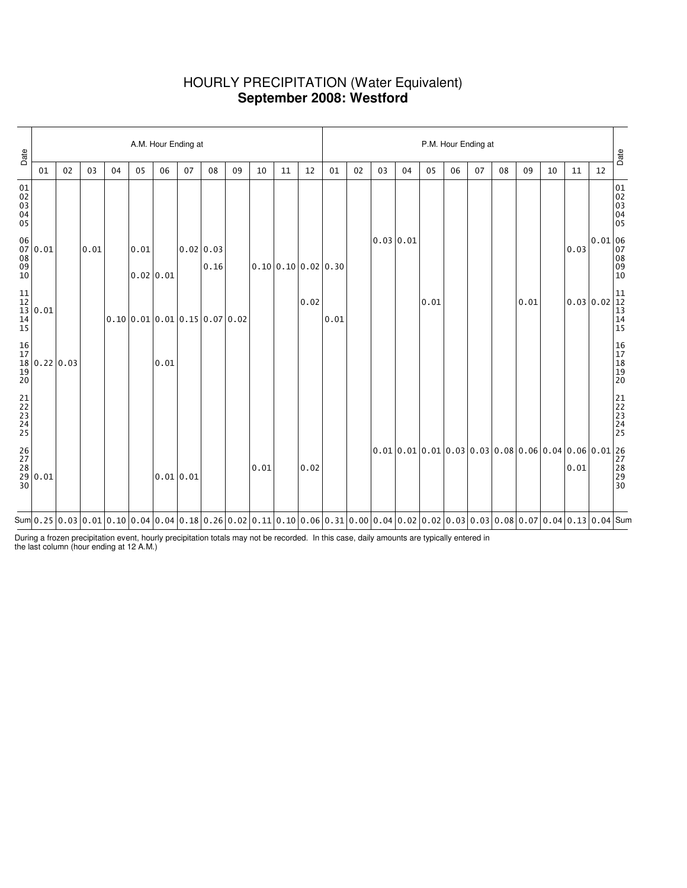### HOURLY PRECIPITATION (Water Equivalent) **September 2008: Westford**

| Date                             |                                                                                 |    |      |    |      | A.M. Hour Ending at                                      |           |                   |    |      |    |                                      | P.M. Hour Ending at |    |           |    |      |    |    |    |                                                                                                                                                                                                                                                                                                                                                              |    |      |                                                                            |                                                            |
|----------------------------------|---------------------------------------------------------------------------------|----|------|----|------|----------------------------------------------------------|-----------|-------------------|----|------|----|--------------------------------------|---------------------|----|-----------|----|------|----|----|----|--------------------------------------------------------------------------------------------------------------------------------------------------------------------------------------------------------------------------------------------------------------------------------------------------------------------------------------------------------------|----|------|----------------------------------------------------------------------------|------------------------------------------------------------|
|                                  | 01                                                                              | 02 | 03   | 04 | 05   | 06                                                       | 07        | 08                | 09 | 10   | 11 | 12                                   | 01                  | 02 | 03        | 04 | 05   | 06 | 07 | 08 | 09                                                                                                                                                                                                                                                                                                                                                           | 10 | 11   | 12                                                                         | Date                                                       |
| 01<br>02<br>03<br>04<br>04<br>05 |                                                                                 |    |      |    |      |                                                          |           |                   |    |      |    |                                      |                     |    |           |    |      |    |    |    |                                                                                                                                                                                                                                                                                                                                                              |    |      |                                                                            | 01<br>02<br>03<br>04<br>05                                 |
|                                  | $\begin{bmatrix} 06 \ 07 \ 08 \ 09 \ 10 \end{bmatrix} 0.01$                     |    | 0.01 |    | 0.01 | 0.02 0.01                                                |           | 0.02 0.03<br>0.16 |    |      |    | $0.10 \mid 0.10 \mid 0.02 \mid 0.30$ |                     |    | 0.03 0.01 |    |      |    |    |    |                                                                                                                                                                                                                                                                                                                                                              |    | 0.03 | $\begin{bmatrix} 0.01 & 06 \\ 07 & 08 \\ 08 & 09 \\ 10 & 10 \end{bmatrix}$ |                                                            |
|                                  | $\begin{array}{c} 11 \\ 12 \\ 13 \\ 14 \\ 15 \end{array} 0.01$                  |    |      |    |      | $0.10 \mid 0.01 \mid 0.01 \mid 0.15 \mid 0.07 \mid 0.02$ |           |                   |    |      |    | 0.02                                 | 0.01                |    |           |    | 0.01 |    |    |    | 0.01                                                                                                                                                                                                                                                                                                                                                         |    |      | 0.0300.02                                                                  | $\begin{vmatrix} 11 \\ 12 \\ 13 \\ 14 \\ 15 \end{vmatrix}$ |
|                                  | $\begin{array}{c c} 16 & 17 \\ 17 & 0.22 \\ 18 & 0.22 \\ 20 & 0.03 \end{array}$ |    |      |    |      | 0.01                                                     |           |                   |    |      |    |                                      |                     |    |           |    |      |    |    |    |                                                                                                                                                                                                                                                                                                                                                              |    |      |                                                                            | 16<br>17<br>18<br>19<br>19<br>20                           |
| 21<br>22<br>23<br>24<br>25       |                                                                                 |    |      |    |      |                                                          |           |                   |    |      |    |                                      |                     |    |           |    |      |    |    |    |                                                                                                                                                                                                                                                                                                                                                              |    |      |                                                                            | 21<br>22<br>23<br>24<br>24<br>25                           |
|                                  | $\begin{bmatrix} 26 \\ 27 \\ 28 \\ 29 \\ 30 \end{bmatrix} 0.01$                 |    |      |    |      |                                                          | 0.01 0.01 |                   |    | 0.01 |    | 0.02                                 |                     |    |           |    |      |    |    |    | $\begin{bmatrix} 0.01 & 0.01 & 0.01 & 0.03 & 0.03 & 0.08 & 0.06 & 0.04 & 0.06 & 0.01 & 27 & 28 & 0.01 & 28 & 29 & 30 \end{bmatrix}$                                                                                                                                                                                                                          |    |      |                                                                            |                                                            |
|                                  |                                                                                 |    |      |    |      |                                                          |           |                   |    |      |    |                                      |                     |    |           |    |      |    |    |    | Sum $\vert 0.25 \vert 0.03 \vert 0.01 \vert 0.10 \vert 0.04 \vert 0.04 \vert 0.18 \vert 0.26 \vert 0.02 \vert 0.11 \vert 0.10 \vert 0.06 \vert 0.31 \vert 0.00 \vert 0.04 \vert 0.02 \vert 0.02 \vert 0.03 \vert 0.03 \vert 0.08 \vert 0.07 \vert 0.04 \vert 0.13 \vert 0.04 \vert 5000 \vert 0.04 \vert 0.05 \vert 0.06 \vert 0.07 \vert 0.08 \vert 0.07 \$ |    |      |                                                                            |                                                            |

During a frozen precipitation event, hourly precipitation totals may not be recorded. In this case, daily amounts are typically entered in the last column (hour ending at 12 A.M.)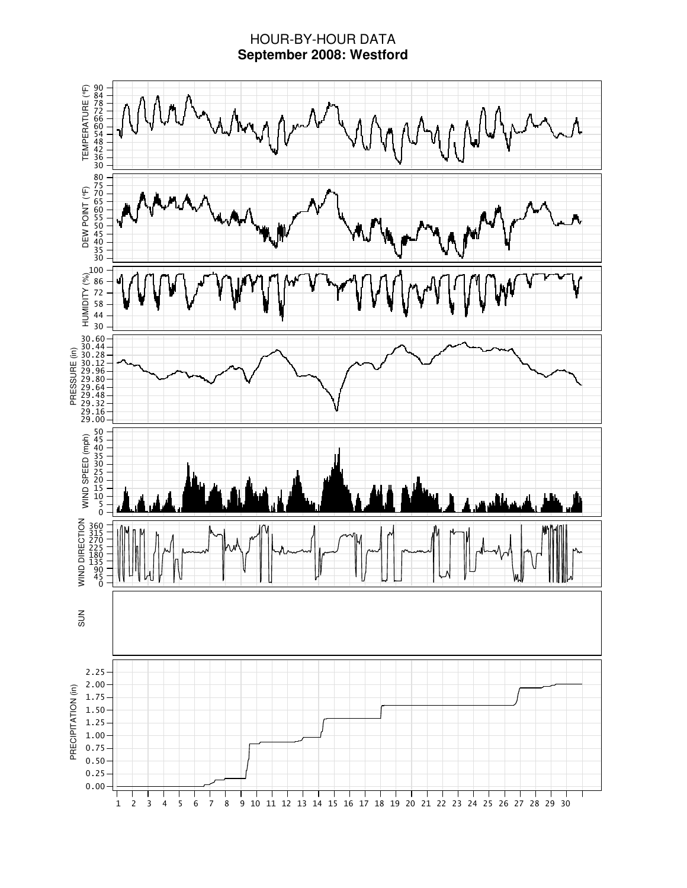### HOUR-BY-HOUR DATA **September 2008: Westford**